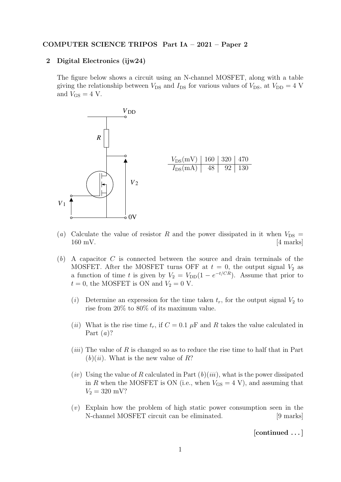## COMPUTER SCIENCE TRIPOS Part IA – 2021 – Paper 2

## 2 Digital Electronics (ijw24)

The figure below shows a circuit using an N-channel MOSFET, along with a table giving the relationship between  $V_{DS}$  and  $I_{DS}$  for various values of  $V_{DS}$ , at  $V_{DD} = 4$  V and  $V_{GS} = 4$  V.



- (a) Calculate the value of resistor R and the power dissipated in it when  $V_{DS} =$  $160 \text{ mV}$ . [4 marks]
- (b) A capacitor C is connected between the source and drain terminals of the MOSFET. After the MOSFET turns OFF at  $t = 0$ , the output signal  $V_2$  as a function of time t is given by  $V_2 = V_{DD}(1 - e^{-t/CR})$ . Assume that prior to  $t = 0$ , the MOSFET is ON and  $V_2 = 0$  V.
	- (i) Determine an expression for the time taken  $t_r$ , for the output signal  $V_2$  to rise from 20% to 80% of its maximum value.
	- (ii) What is the rise time  $t_r$ , if  $C = 0.1 \mu$ F and R takes the value calculated in Part  $(a)$ ?
	- $(iii)$  The value of R is changed so as to reduce the rise time to half that in Part  $(b)(ii)$ . What is the new value of R?
	- $(iv)$  Using the value of R calculated in Part  $(b)(iii)$ , what is the power dissipated in R when the MOSFET is ON (i.e., when  $V_{\text{GS}} = 4 \text{ V}$ ), and assuming that  $V_2 = 320$  mV?
	- (v) Explain how the problem of high static power consumption seen in the N-channel MOSFET circuit can be eliminated. [9 marks]

[continued . . . ]